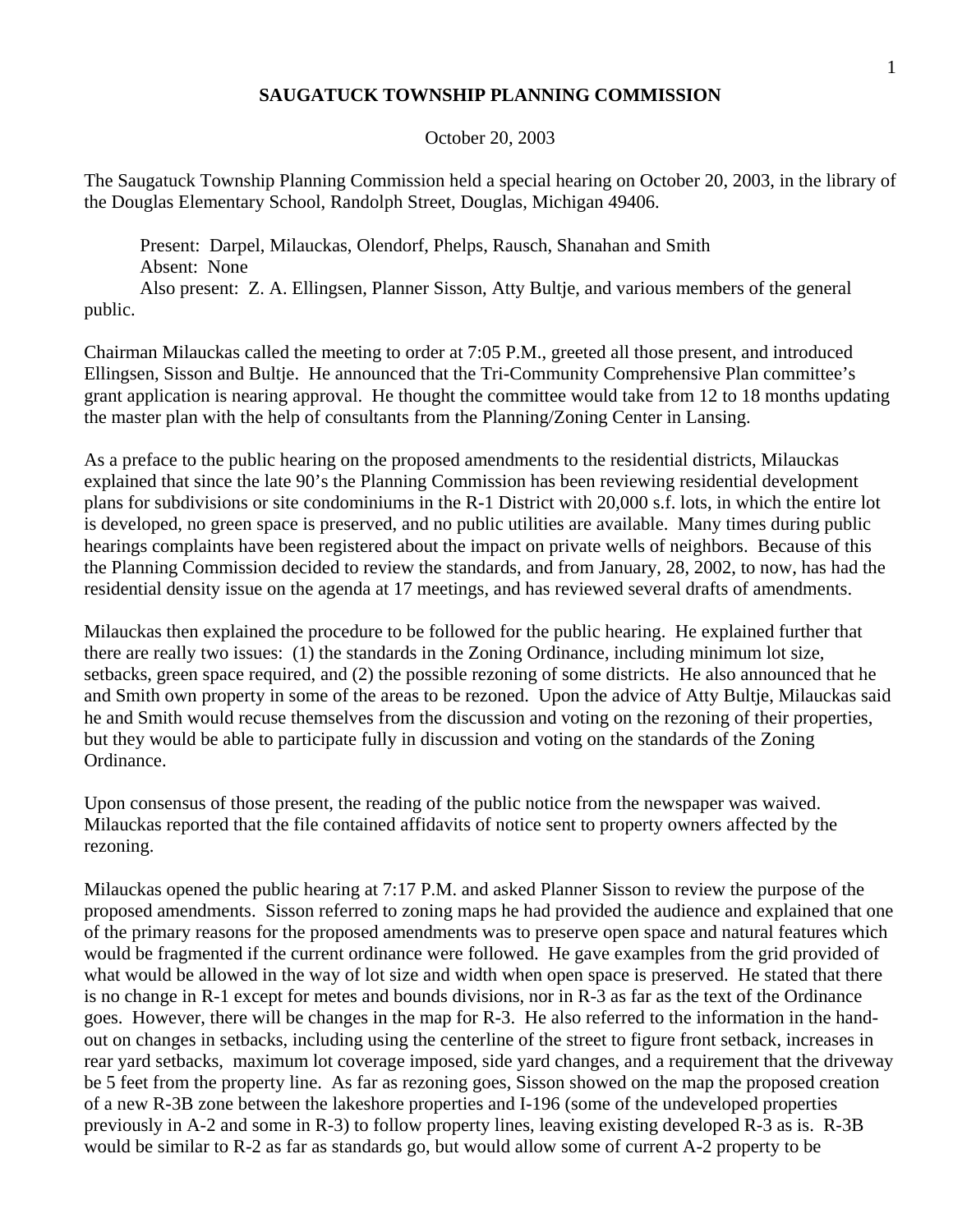## **SAUGATUCK TOWNSHIP PLANNING COMMISSION**

## October 20, 2003

The Saugatuck Township Planning Commission held a special hearing on October 20, 2003, in the library of the Douglas Elementary School, Randolph Street, Douglas, Michigan 49406.

 Present: Darpel, Milauckas, Olendorf, Phelps, Rausch, Shanahan and Smith Absent: None

 Also present: Z. A. Ellingsen, Planner Sisson, Atty Bultje, and various members of the general public.

Chairman Milauckas called the meeting to order at 7:05 P.M., greeted all those present, and introduced Ellingsen, Sisson and Bultje. He announced that the Tri-Community Comprehensive Plan committee's grant application is nearing approval. He thought the committee would take from 12 to 18 months updating the master plan with the help of consultants from the Planning/Zoning Center in Lansing.

As a preface to the public hearing on the proposed amendments to the residential districts, Milauckas explained that since the late 90's the Planning Commission has been reviewing residential development plans for subdivisions or site condominiums in the R-1 District with 20,000 s.f. lots, in which the entire lot is developed, no green space is preserved, and no public utilities are available. Many times during public hearings complaints have been registered about the impact on private wells of neighbors. Because of this the Planning Commission decided to review the standards, and from January, 28, 2002, to now, has had the residential density issue on the agenda at 17 meetings, and has reviewed several drafts of amendments.

Milauckas then explained the procedure to be followed for the public hearing. He explained further that there are really two issues: (1) the standards in the Zoning Ordinance, including minimum lot size, setbacks, green space required, and (2) the possible rezoning of some districts. He also announced that he and Smith own property in some of the areas to be rezoned. Upon the advice of Atty Bultje, Milauckas said he and Smith would recuse themselves from the discussion and voting on the rezoning of their properties, but they would be able to participate fully in discussion and voting on the standards of the Zoning Ordinance.

Upon consensus of those present, the reading of the public notice from the newspaper was waived. Milauckas reported that the file contained affidavits of notice sent to property owners affected by the rezoning.

Milauckas opened the public hearing at 7:17 P.M. and asked Planner Sisson to review the purpose of the proposed amendments. Sisson referred to zoning maps he had provided the audience and explained that one of the primary reasons for the proposed amendments was to preserve open space and natural features which would be fragmented if the current ordinance were followed. He gave examples from the grid provided of what would be allowed in the way of lot size and width when open space is preserved. He stated that there is no change in R-1 except for metes and bounds divisions, nor in R-3 as far as the text of the Ordinance goes. However, there will be changes in the map for R-3. He also referred to the information in the handout on changes in setbacks, including using the centerline of the street to figure front setback, increases in rear yard setbacks, maximum lot coverage imposed, side yard changes, and a requirement that the driveway be 5 feet from the property line. As far as rezoning goes, Sisson showed on the map the proposed creation of a new R-3B zone between the lakeshore properties and I-196 (some of the undeveloped properties previously in A-2 and some in R-3) to follow property lines, leaving existing developed R-3 as is. R-3B would be similar to R-2 as far as standards go, but would allow some of current A-2 property to be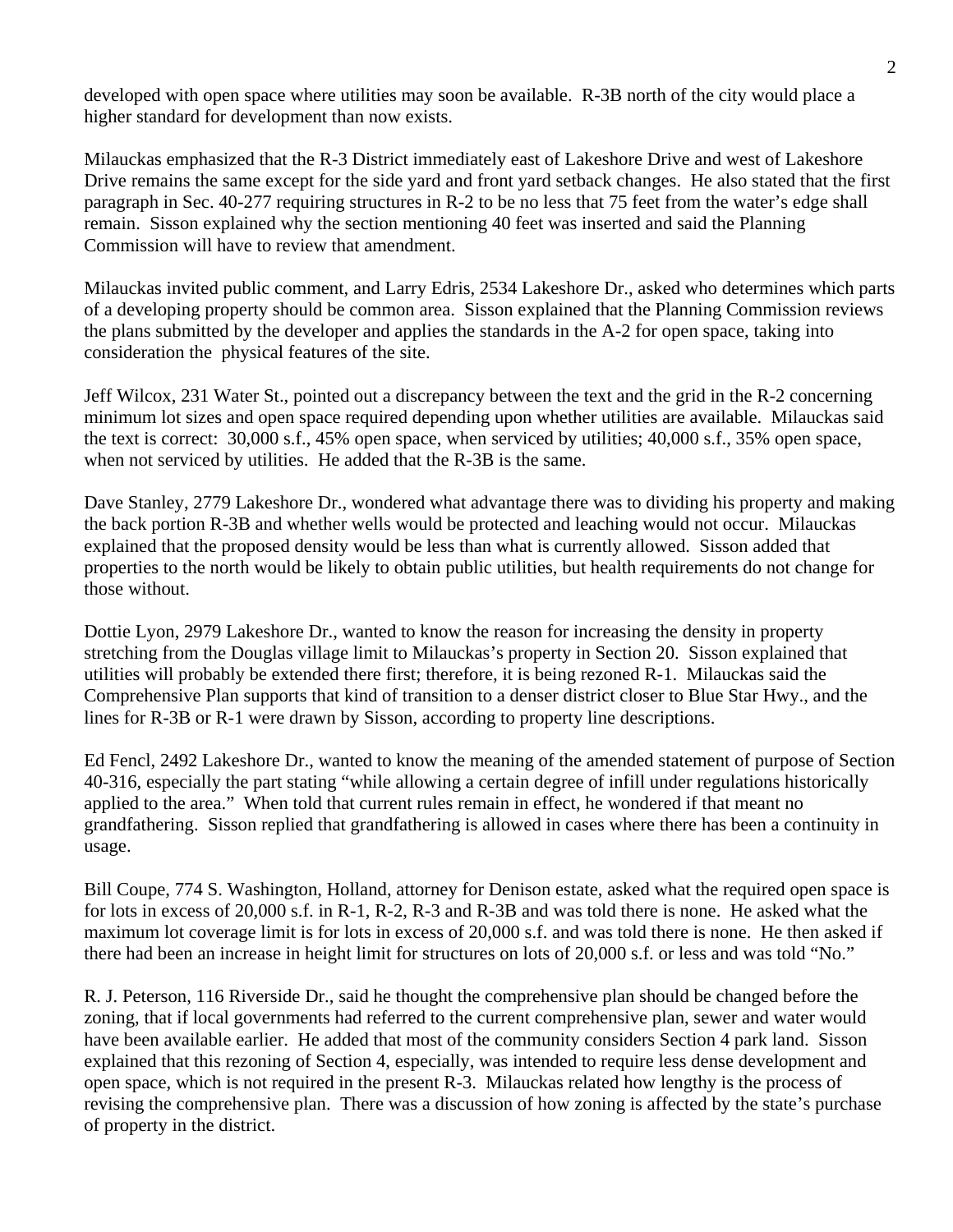developed with open space where utilities may soon be available. R-3B north of the city would place a higher standard for development than now exists.

Milauckas emphasized that the R-3 District immediately east of Lakeshore Drive and west of Lakeshore Drive remains the same except for the side yard and front yard setback changes. He also stated that the first paragraph in Sec. 40-277 requiring structures in R-2 to be no less that 75 feet from the water's edge shall remain. Sisson explained why the section mentioning 40 feet was inserted and said the Planning Commission will have to review that amendment.

Milauckas invited public comment, and Larry Edris, 2534 Lakeshore Dr., asked who determines which parts of a developing property should be common area. Sisson explained that the Planning Commission reviews the plans submitted by the developer and applies the standards in the A-2 for open space, taking into consideration the physical features of the site.

Jeff Wilcox, 231 Water St., pointed out a discrepancy between the text and the grid in the R-2 concerning minimum lot sizes and open space required depending upon whether utilities are available. Milauckas said the text is correct: 30,000 s.f., 45% open space, when serviced by utilities; 40,000 s.f., 35% open space, when not serviced by utilities. He added that the R-3B is the same.

Dave Stanley, 2779 Lakeshore Dr., wondered what advantage there was to dividing his property and making the back portion R-3B and whether wells would be protected and leaching would not occur. Milauckas explained that the proposed density would be less than what is currently allowed. Sisson added that properties to the north would be likely to obtain public utilities, but health requirements do not change for those without.

Dottie Lyon, 2979 Lakeshore Dr., wanted to know the reason for increasing the density in property stretching from the Douglas village limit to Milauckas's property in Section 20. Sisson explained that utilities will probably be extended there first; therefore, it is being rezoned R-1. Milauckas said the Comprehensive Plan supports that kind of transition to a denser district closer to Blue Star Hwy., and the lines for R-3B or R-1 were drawn by Sisson, according to property line descriptions.

Ed Fencl, 2492 Lakeshore Dr., wanted to know the meaning of the amended statement of purpose of Section 40-316, especially the part stating "while allowing a certain degree of infill under regulations historically applied to the area." When told that current rules remain in effect, he wondered if that meant no grandfathering. Sisson replied that grandfathering is allowed in cases where there has been a continuity in usage.

Bill Coupe, 774 S. Washington, Holland, attorney for Denison estate, asked what the required open space is for lots in excess of 20,000 s.f. in R-1, R-2, R-3 and R-3B and was told there is none. He asked what the maximum lot coverage limit is for lots in excess of 20,000 s.f. and was told there is none. He then asked if there had been an increase in height limit for structures on lots of 20,000 s.f. or less and was told "No."

R. J. Peterson, 116 Riverside Dr., said he thought the comprehensive plan should be changed before the zoning, that if local governments had referred to the current comprehensive plan, sewer and water would have been available earlier. He added that most of the community considers Section 4 park land. Sisson explained that this rezoning of Section 4, especially, was intended to require less dense development and open space, which is not required in the present R-3. Milauckas related how lengthy is the process of revising the comprehensive plan. There was a discussion of how zoning is affected by the state's purchase of property in the district.